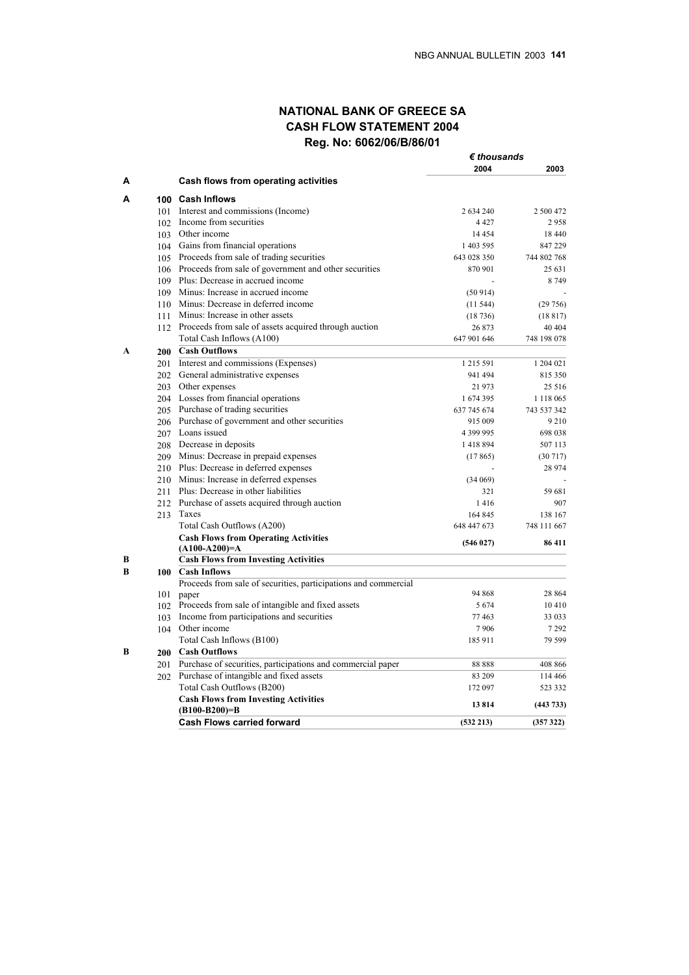# **NATIONAL BANK OF GREECE SA CASH FLOW STATEMENT 2004 Reg. No: 6062/06/Β/86/01**

|   |                                                                 | $\epsilon$ thousands |               |
|---|-----------------------------------------------------------------|----------------------|---------------|
|   |                                                                 | 2004                 | 2003          |
| A | Cash flows from operating activities                            |                      |               |
| Α | 100 Cash Inflows                                                |                      |               |
|   | 101 Interest and commissions (Income)                           | 2 634 240            | 2 500 472     |
|   | 102 Income from securities                                      | 4 4 2 7              | 2958          |
|   | 103 Other income                                                | 14 4 5 4             | 18 440        |
|   | 104 Gains from financial operations                             | 1 403 595            | 847 229       |
|   | 105 Proceeds from sale of trading securities                    | 643 028 350          | 744 802 768   |
|   | 106 Proceeds from sale of government and other securities       | 870 901              | 25 631        |
|   | 109 Plus: Decrease in accrued income                            |                      | 8 7 4 9       |
|   | 109 Minus: Increase in accrued income                           | (50914)              |               |
|   | 110 Minus: Decrease in deferred income                          | (11544)              | (29756)       |
|   | 111 Minus: Increase in other assets                             | (18736)              | (18817)       |
|   | 112 Proceeds from sale of assets acquired through auction       | 26 873               | 40 40 4       |
|   | Total Cash Inflows (A100)                                       | 647 901 646          | 748 198 078   |
| A | 200 Cash Outflows                                               |                      |               |
|   | 201 Interest and commissions (Expenses)                         | 1 2 1 5 5 9 1        | 1 204 021     |
|   | 202 General administrative expenses                             | 941 494              | 815 350       |
|   |                                                                 |                      | 25 5 16       |
|   | 203 Other expenses                                              | 21 973               |               |
|   | 204 Losses from financial operations                            | 1674395              | 1 1 1 8 0 6 5 |
|   | 205 Purchase of trading securities                              | 637 745 674          | 743 537 342   |
|   | 206 Purchase of government and other securities                 | 915 009              | 9210          |
|   | 207 Loans issued                                                | 4 399 995            | 698 038       |
|   | 208 Decrease in deposits                                        | 1418894              | 507 113       |
|   | 209 Minus: Decrease in prepaid expenses                         | (17865)              | (30717)       |
|   | 210 Plus: Decrease in deferred expenses                         |                      | 28 974        |
|   | 210 Minus: Increase in deferred expenses                        | (34069)              |               |
|   | 211 Plus: Decrease in other liabilities                         | 321                  | 59 681        |
|   | 212 Purchase of assets acquired through auction                 | 1416                 | 907           |
|   | 213 Taxes                                                       | 164 845              | 138 167       |
|   | Total Cash Outflows (A200)                                      | 648 447 673          | 748 111 667   |
|   | <b>Cash Flows from Operating Activities</b>                     | (546027)             | 86 411        |
|   | $(A100-A200)=A$                                                 |                      |               |
| В | <b>Cash Flows from Investing Activities</b>                     |                      |               |
| В | 100 Cash Inflows                                                |                      |               |
|   | Proceeds from sale of securities, participations and commercial |                      |               |
|   | 101 paper                                                       | 94 868               | 28 864        |
|   | 102 Proceeds from sale of intangible and fixed assets           | 5 6 7 4              | 10410         |
|   | 103 Income from participations and securities                   | 77463                | 33 033        |
|   | 104 Other income                                                | 7906                 | 7 2 9 2       |
|   | Total Cash Inflows (B100)                                       | 185 911              | 79 599        |
| B | 200 Cash Outflows                                               |                      |               |
|   | 201 Purchase of securities, participations and commercial paper | 88888                | 408 866       |
|   | 202 Purchase of intangible and fixed assets                     | 83 209               | 114 466       |
|   | Total Cash Outflows (B200)                                      | 172 097              | 523 332       |
|   | <b>Cash Flows from Investing Activities</b>                     | 13814                | (443 733)     |
|   | $(B100-B200)=B$                                                 |                      |               |
|   | <b>Cash Flows carried forward</b>                               | (532 213)            | (357322)      |